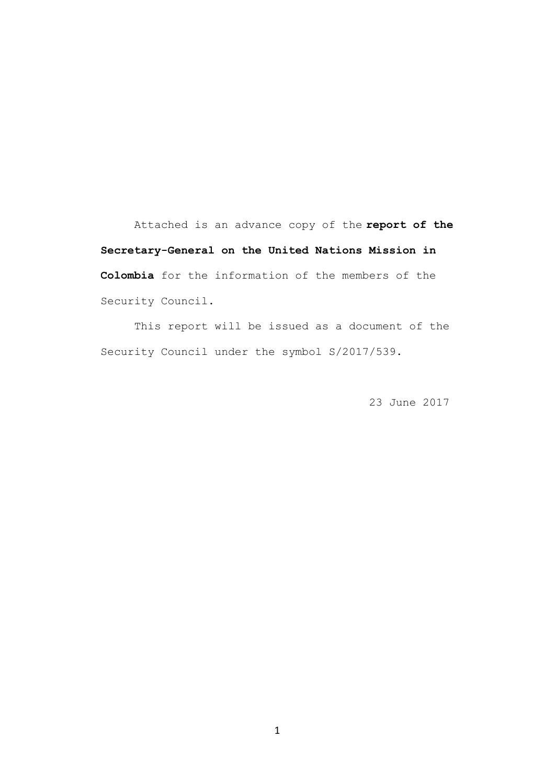Attached is an advance copy of the **report of the Secretary-General on the United Nations Mission in Colombia** for the information of the members of the Security Council.

This report will be issued as a document of the Security Council under the symbol S/2017/539.

23 June 2017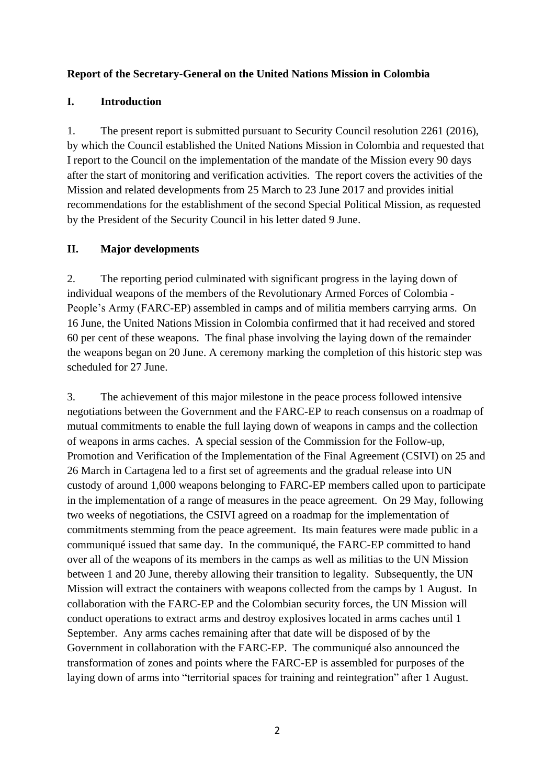#### **Report of the Secretary-General on the United Nations Mission in Colombia**

#### **I. Introduction**

1. The present report is submitted pursuant to Security Council resolution 2261 (2016), by which the Council established the United Nations Mission in Colombia and requested that I report to the Council on the implementation of the mandate of the Mission every 90 days after the start of monitoring and verification activities. The report covers the activities of the Mission and related developments from 25 March to 23 June 2017 and provides initial recommendations for the establishment of the second Special Political Mission, as requested by the President of the Security Council in his letter dated 9 June.

#### **II. Major developments**

2. The reporting period culminated with significant progress in the laying down of individual weapons of the members of the Revolutionary Armed Forces of Colombia - People's Army (FARC-EP) assembled in camps and of militia members carrying arms. On 16 June, the United Nations Mission in Colombia confirmed that it had received and stored 60 per cent of these weapons. The final phase involving the laying down of the remainder the weapons began on 20 June. A ceremony marking the completion of this historic step was scheduled for 27 June.

3. The achievement of this major milestone in the peace process followed intensive negotiations between the Government and the FARC-EP to reach consensus on a roadmap of mutual commitments to enable the full laying down of weapons in camps and the collection of weapons in arms caches. A special session of the Commission for the Follow-up, Promotion and Verification of the Implementation of the Final Agreement (CSIVI) on 25 and 26 March in Cartagena led to a first set of agreements and the gradual release into UN custody of around 1,000 weapons belonging to FARC-EP members called upon to participate in the implementation of a range of measures in the peace agreement. On 29 May, following two weeks of negotiations, the CSIVI agreed on a roadmap for the implementation of commitments stemming from the peace agreement. Its main features were made public in a communiqué issued that same day. In the communiqué, the FARC-EP committed to hand over all of the weapons of its members in the camps as well as militias to the UN Mission between 1 and 20 June, thereby allowing their transition to legality. Subsequently, the UN Mission will extract the containers with weapons collected from the camps by 1 August. In collaboration with the FARC-EP and the Colombian security forces, the UN Mission will conduct operations to extract arms and destroy explosives located in arms caches until 1 September. Any arms caches remaining after that date will be disposed of by the Government in collaboration with the FARC-EP. The communiqué also announced the transformation of zones and points where the FARC-EP is assembled for purposes of the laying down of arms into "territorial spaces for training and reintegration" after 1 August.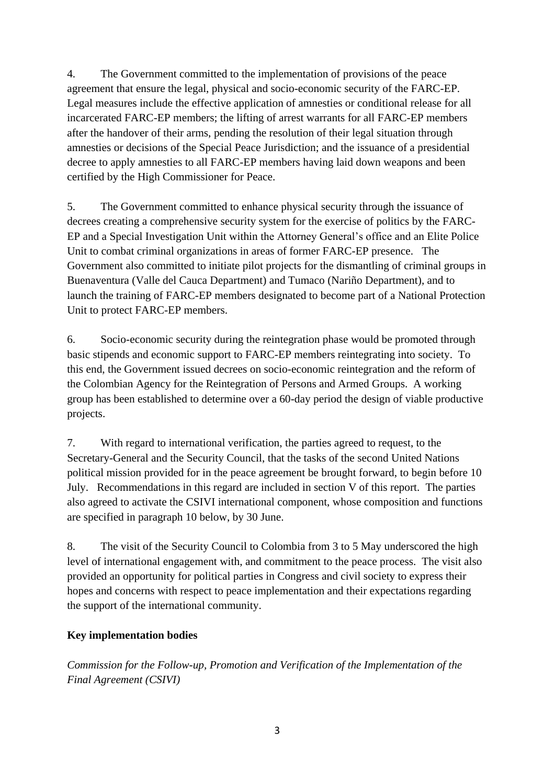4. The Government committed to the implementation of provisions of the peace agreement that ensure the legal, physical and socio-economic security of the FARC-EP. Legal measures include the effective application of amnesties or conditional release for all incarcerated FARC-EP members; the lifting of arrest warrants for all FARC-EP members after the handover of their arms, pending the resolution of their legal situation through amnesties or decisions of the Special Peace Jurisdiction; and the issuance of a presidential decree to apply amnesties to all FARC-EP members having laid down weapons and been certified by the High Commissioner for Peace.

5. The Government committed to enhance physical security through the issuance of decrees creating a comprehensive security system for the exercise of politics by the FARC-EP and a Special Investigation Unit within the Attorney General's office and an Elite Police Unit to combat criminal organizations in areas of former FARC-EP presence. The Government also committed to initiate pilot projects for the dismantling of criminal groups in Buenaventura (Valle del Cauca Department) and Tumaco (Nariño Department), and to launch the training of FARC-EP members designated to become part of a National Protection Unit to protect FARC-EP members.

6. Socio-economic security during the reintegration phase would be promoted through basic stipends and economic support to FARC-EP members reintegrating into society. To this end, the Government issued decrees on socio-economic reintegration and the reform of the Colombian Agency for the Reintegration of Persons and Armed Groups. A working group has been established to determine over a 60-day period the design of viable productive projects.

7. With regard to international verification, the parties agreed to request, to the Secretary-General and the Security Council, that the tasks of the second United Nations political mission provided for in the peace agreement be brought forward, to begin before 10 July. Recommendations in this regard are included in section V of this report. The parties also agreed to activate the CSIVI international component, whose composition and functions are specified in paragraph 10 below, by 30 June.

8. The visit of the Security Council to Colombia from 3 to 5 May underscored the high level of international engagement with, and commitment to the peace process. The visit also provided an opportunity for political parties in Congress and civil society to express their hopes and concerns with respect to peace implementation and their expectations regarding the support of the international community.

# **Key implementation bodies**

*Commission for the Follow-up, Promotion and Verification of the Implementation of the Final Agreement (CSIVI)*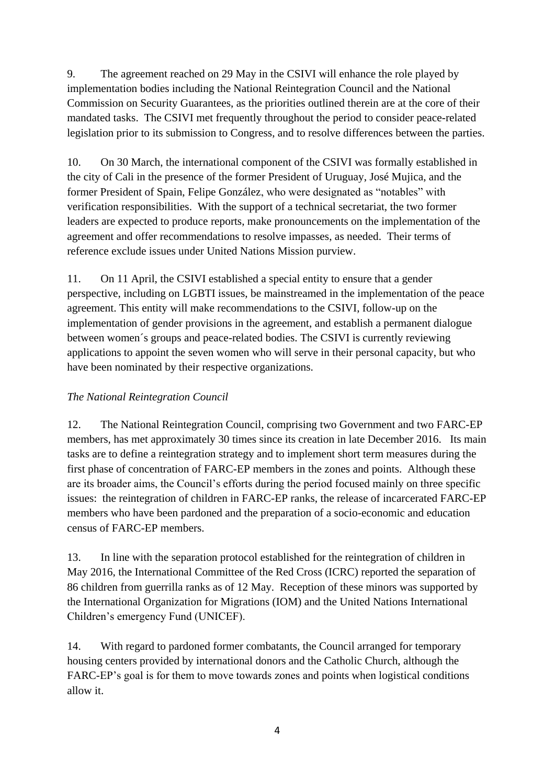9. The agreement reached on 29 May in the CSIVI will enhance the role played by implementation bodies including the National Reintegration Council and the National Commission on Security Guarantees, as the priorities outlined therein are at the core of their mandated tasks. The CSIVI met frequently throughout the period to consider peace-related legislation prior to its submission to Congress, and to resolve differences between the parties.

10. On 30 March, the international component of the CSIVI was formally established in the city of Cali in the presence of the former President of Uruguay, José Mujica, and the former President of Spain, Felipe González, who were designated as "notables" with verification responsibilities. With the support of a technical secretariat, the two former leaders are expected to produce reports, make pronouncements on the implementation of the agreement and offer recommendations to resolve impasses, as needed. Their terms of reference exclude issues under United Nations Mission purview.

11. On 11 April, the CSIVI established a special entity to ensure that a gender perspective, including on LGBTI issues, be mainstreamed in the implementation of the peace agreement. This entity will make recommendations to the CSIVI, follow-up on the implementation of gender provisions in the agreement, and establish a permanent dialogue between women´s groups and peace-related bodies. The CSIVI is currently reviewing applications to appoint the seven women who will serve in their personal capacity, but who have been nominated by their respective organizations.

# *The National Reintegration Council*

12. The National Reintegration Council, comprising two Government and two FARC-EP members, has met approximately 30 times since its creation in late December 2016. Its main tasks are to define a reintegration strategy and to implement short term measures during the first phase of concentration of FARC-EP members in the zones and points. Although these are its broader aims, the Council's efforts during the period focused mainly on three specific issues: the reintegration of children in FARC-EP ranks, the release of incarcerated FARC-EP members who have been pardoned and the preparation of a socio-economic and education census of FARC-EP members.

13. In line with the separation protocol established for the reintegration of children in May 2016, the International Committee of the Red Cross (ICRC) reported the separation of 86 children from guerrilla ranks as of 12 May. Reception of these minors was supported by the International Organization for Migrations (IOM) and the United Nations International Children's emergency Fund (UNICEF).

14. With regard to pardoned former combatants, the Council arranged for temporary housing centers provided by international donors and the Catholic Church, although the FARC-EP's goal is for them to move towards zones and points when logistical conditions allow it.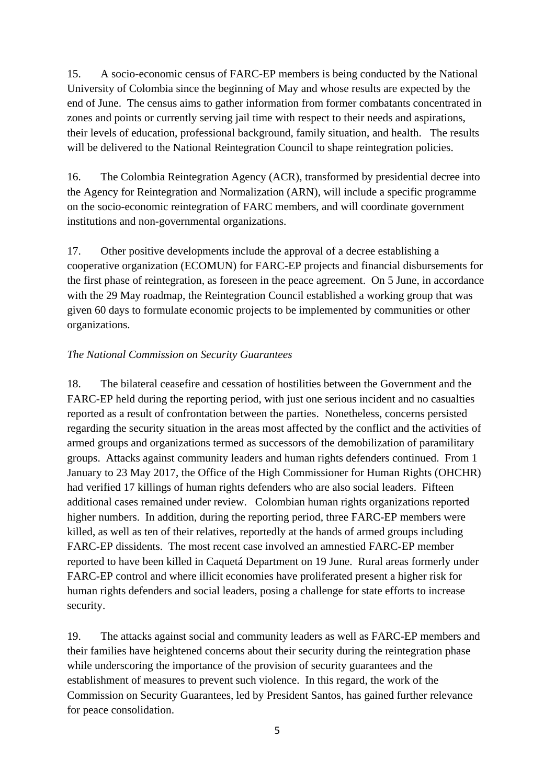15. A socio-economic census of FARC-EP members is being conducted by the National University of Colombia since the beginning of May and whose results are expected by the end of June. The census aims to gather information from former combatants concentrated in zones and points or currently serving jail time with respect to their needs and aspirations, their levels of education, professional background, family situation, and health. The results will be delivered to the National Reintegration Council to shape reintegration policies.

16. The Colombia Reintegration Agency (ACR), transformed by presidential decree into the Agency for Reintegration and Normalization (ARN), will include a specific programme on the socio-economic reintegration of FARC members, and will coordinate government institutions and non-governmental organizations.

17. Other positive developments include the approval of a decree establishing a cooperative organization (ECOMUN) for FARC-EP projects and financial disbursements for the first phase of reintegration, as foreseen in the peace agreement. On 5 June, in accordance with the 29 May roadmap, the Reintegration Council established a working group that was given 60 days to formulate economic projects to be implemented by communities or other organizations.

# *The National Commission on Security Guarantees*

18. The bilateral ceasefire and cessation of hostilities between the Government and the FARC-EP held during the reporting period, with just one serious incident and no casualties reported as a result of confrontation between the parties. Nonetheless, concerns persisted regarding the security situation in the areas most affected by the conflict and the activities of armed groups and organizations termed as successors of the demobilization of paramilitary groups. Attacks against community leaders and human rights defenders continued. From 1 January to 23 May 2017, the Office of the High Commissioner for Human Rights (OHCHR) had verified 17 killings of human rights defenders who are also social leaders. Fifteen additional cases remained under review. Colombian human rights organizations reported higher numbers. In addition, during the reporting period, three FARC-EP members were killed, as well as ten of their relatives, reportedly at the hands of armed groups including FARC-EP dissidents. The most recent case involved an amnestied FARC-EP member reported to have been killed in Caquetá Department on 19 June.Rural areas formerly under FARC-EP control and where illicit economies have proliferated present a higher risk for human rights defenders and social leaders, posing a challenge for state efforts to increase security.

19. The attacks against social and community leaders as well as FARC-EP members and their families have heightened concerns about their security during the reintegration phase while underscoring the importance of the provision of security guarantees and the establishment of measures to prevent such violence. In this regard, the work of the Commission on Security Guarantees, led by President Santos, has gained further relevance for peace consolidation.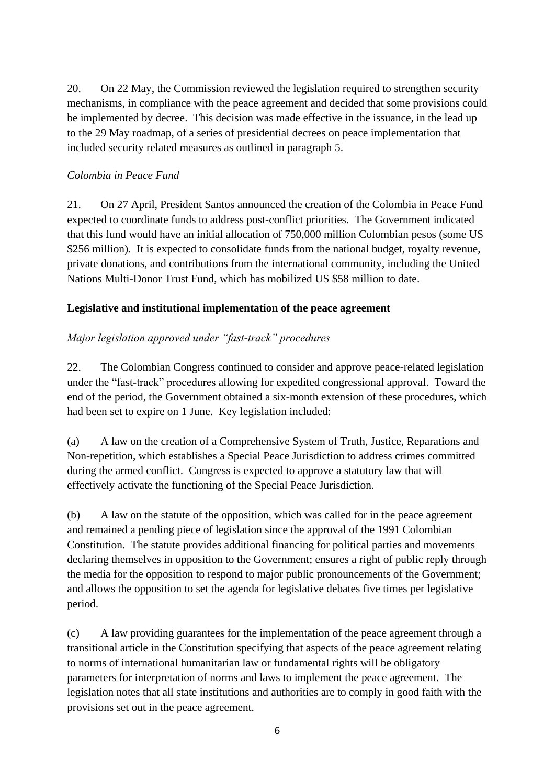20. On 22 May, the Commission reviewed the legislation required to strengthen security mechanisms, in compliance with the peace agreement and decided that some provisions could be implemented by decree. This decision was made effective in the issuance, in the lead up to the 29 May roadmap, of a series of presidential decrees on peace implementation that included security related measures as outlined in paragraph 5.

#### *Colombia in Peace Fund*

21. On 27 April, President Santos announced the creation of the Colombia in Peace Fund expected to coordinate funds to address post-conflict priorities. The Government indicated that this fund would have an initial allocation of 750,000 million Colombian pesos (some US \$256 million). It is expected to consolidate funds from the national budget, royalty revenue, private donations, and contributions from the international community, including the United Nations Multi-Donor Trust Fund, which has mobilized US \$58 million to date.

#### **Legislative and institutional implementation of the peace agreement**

# *Major legislation approved under "fast-track" procedures*

22. The Colombian Congress continued to consider and approve peace-related legislation under the "fast-track" procedures allowing for expedited congressional approval. Toward the end of the period, the Government obtained a six-month extension of these procedures, which had been set to expire on 1 June. Key legislation included:

(a) A law on the creation of a Comprehensive System of Truth, Justice, Reparations and Non-repetition, which establishes a Special Peace Jurisdiction to address crimes committed during the armed conflict. Congress is expected to approve a statutory law that will effectively activate the functioning of the Special Peace Jurisdiction.

(b) A law on the statute of the opposition, which was called for in the peace agreement and remained a pending piece of legislation since the approval of the 1991 Colombian Constitution. The statute provides additional financing for political parties and movements declaring themselves in opposition to the Government; ensures a right of public reply through the media for the opposition to respond to major public pronouncements of the Government; and allows the opposition to set the agenda for legislative debates five times per legislative period.

(c) A law providing guarantees for the implementation of the peace agreement through a transitional article in the Constitution specifying that aspects of the peace agreement relating to norms of international humanitarian law or fundamental rights will be obligatory parameters for interpretation of norms and laws to implement the peace agreement. The legislation notes that all state institutions and authorities are to comply in good faith with the provisions set out in the peace agreement.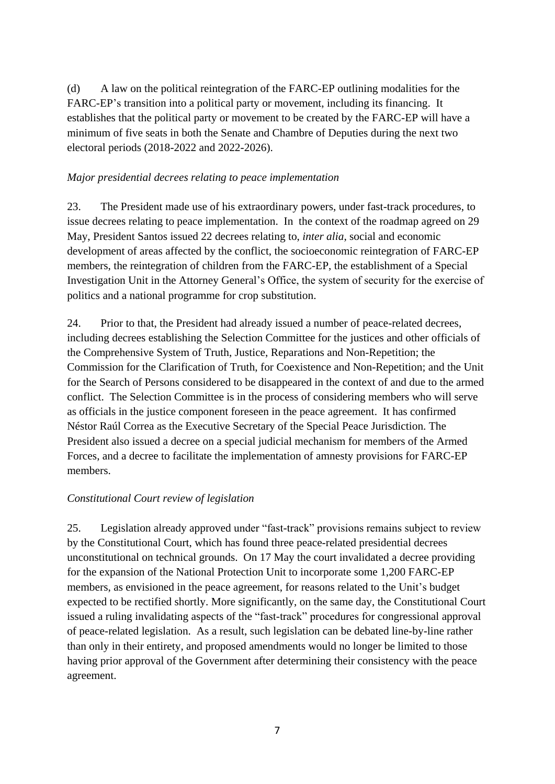(d) A law on the political reintegration of the FARC-EP outlining modalities for the FARC-EP's transition into a political party or movement, including its financing. It establishes that the political party or movement to be created by the FARC-EP will have a minimum of five seats in both the Senate and Chambre of Deputies during the next two electoral periods (2018-2022 and 2022-2026).

#### *Major presidential decrees relating to peace implementation*

23. The President made use of his extraordinary powers, under fast-track procedures, to issue decrees relating to peace implementation. In the context of the roadmap agreed on 29 May, President Santos issued 22 decrees relating to, *inter alia*, social and economic development of areas affected by the conflict, the socioeconomic reintegration of FARC-EP members, the reintegration of children from the FARC-EP, the establishment of a Special Investigation Unit in the Attorney General's Office, the system of security for the exercise of politics and a national programme for crop substitution.

24. Prior to that, the President had already issued a number of peace-related decrees, including decrees establishing the Selection Committee for the justices and other officials of the Comprehensive System of Truth, Justice, Reparations and Non-Repetition; the Commission for the Clarification of Truth, for Coexistence and Non-Repetition; and the Unit for the Search of Persons considered to be disappeared in the context of and due to the armed conflict. The Selection Committee is in the process of considering members who will serve as officials in the justice component foreseen in the peace agreement. It has confirmed Néstor Raúl Correa as the Executive Secretary of the Special Peace Jurisdiction. The President also issued a decree on a special judicial mechanism for members of the Armed Forces, and a decree to facilitate the implementation of amnesty provisions for FARC-EP members.

#### *Constitutional Court review of legislation*

25. Legislation already approved under "fast-track" provisions remains subject to review by the Constitutional Court, which has found three peace-related presidential decrees unconstitutional on technical grounds. On 17 May the court invalidated a decree providing for the expansion of the National Protection Unit to incorporate some 1,200 FARC-EP members, as envisioned in the peace agreement, for reasons related to the Unit's budget expected to be rectified shortly. More significantly, on the same day, the Constitutional Court issued a ruling invalidating aspects of the "fast-track" procedures for congressional approval of peace-related legislation. As a result, such legislation can be debated line-by-line rather than only in their entirety, and proposed amendments would no longer be limited to those having prior approval of the Government after determining their consistency with the peace agreement.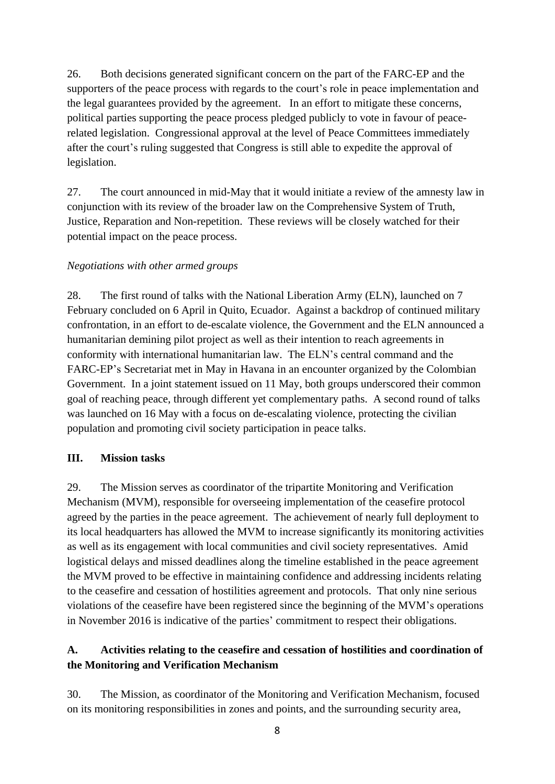26. Both decisions generated significant concern on the part of the FARC-EP and the supporters of the peace process with regards to the court's role in peace implementation and the legal guarantees provided by the agreement. In an effort to mitigate these concerns, political parties supporting the peace process pledged publicly to vote in favour of peacerelated legislation. Congressional approval at the level of Peace Committees immediately after the court's ruling suggested that Congress is still able to expedite the approval of legislation.

27. The court announced in mid-May that it would initiate a review of the amnesty law in conjunction with its review of the broader law on the Comprehensive System of Truth, Justice, Reparation and Non-repetition. These reviews will be closely watched for their potential impact on the peace process.

#### *Negotiations with other armed groups*

28. The first round of talks with the National Liberation Army (ELN), launched on 7 February concluded on 6 April in Quito, Ecuador. Against a backdrop of continued military confrontation, in an effort to de-escalate violence, the Government and the ELN announced a humanitarian demining pilot project as well as their intention to reach agreements in conformity with international humanitarian law. The ELN's central command and the FARC-EP's Secretariat met in May in Havana in an encounter organized by the Colombian Government. In a joint statement issued on 11 May, both groups underscored their common goal of reaching peace, through different yet complementary paths. A second round of talks was launched on 16 May with a focus on de-escalating violence, protecting the civilian population and promoting civil society participation in peace talks.

#### **III. Mission tasks**

29. The Mission serves as coordinator of the tripartite Monitoring and Verification Mechanism (MVM), responsible for overseeing implementation of the ceasefire protocol agreed by the parties in the peace agreement. The achievement of nearly full deployment to its local headquarters has allowed the MVM to increase significantly its monitoring activities as well as its engagement with local communities and civil society representatives. Amid logistical delays and missed deadlines along the timeline established in the peace agreement the MVM proved to be effective in maintaining confidence and addressing incidents relating to the ceasefire and cessation of hostilities agreement and protocols. That only nine serious violations of the ceasefire have been registered since the beginning of the MVM's operations in November 2016 is indicative of the parties' commitment to respect their obligations.

# **A. Activities relating to the ceasefire and cessation of hostilities and coordination of the Monitoring and Verification Mechanism**

30. The Mission, as coordinator of the Monitoring and Verification Mechanism, focused on its monitoring responsibilities in zones and points, and the surrounding security area,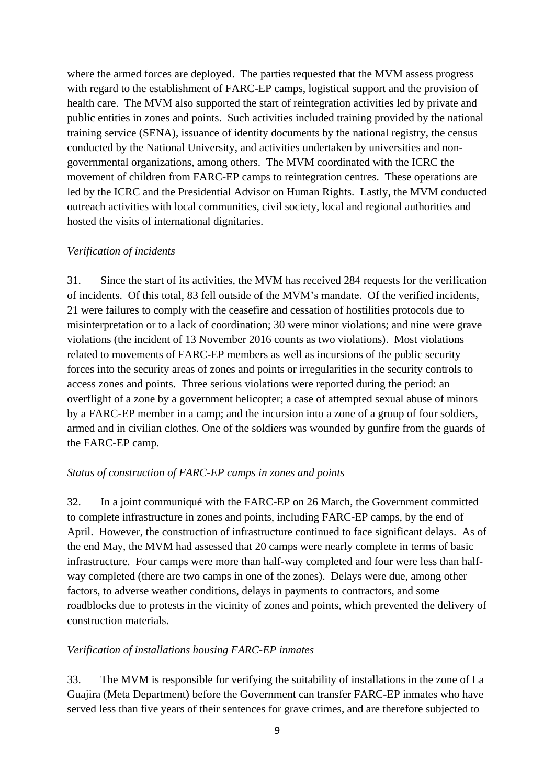where the armed forces are deployed. The parties requested that the MVM assess progress with regard to the establishment of FARC-EP camps, logistical support and the provision of health care. The MVM also supported the start of reintegration activities led by private and public entities in zones and points. Such activities included training provided by the national training service (SENA), issuance of identity documents by the national registry, the census conducted by the National University, and activities undertaken by universities and nongovernmental organizations, among others. The MVM coordinated with the ICRC the movement of children from FARC-EP camps to reintegration centres. These operations are led by the ICRC and the Presidential Advisor on Human Rights. Lastly, the MVM conducted outreach activities with local communities, civil society, local and regional authorities and hosted the visits of international dignitaries.

#### *Verification of incidents*

31. Since the start of its activities, the MVM has received 284 requests for the verification of incidents. Of this total, 83 fell outside of the MVM's mandate. Of the verified incidents, 21 were failures to comply with the ceasefire and cessation of hostilities protocols due to misinterpretation or to a lack of coordination; 30 were minor violations; and nine were grave violations (the incident of 13 November 2016 counts as two violations). Most violations related to movements of FARC-EP members as well as incursions of the public security forces into the security areas of zones and points or irregularities in the security controls to access zones and points. Three serious violations were reported during the period: an overflight of a zone by a government helicopter; a case of attempted sexual abuse of minors by a FARC-EP member in a camp; and the incursion into a zone of a group of four soldiers, armed and in civilian clothes. One of the soldiers was wounded by gunfire from the guards of the FARC-EP camp.

#### *Status of construction of FARC-EP camps in zones and points*

32. In a joint communiqué with the FARC-EP on 26 March, the Government committed to complete infrastructure in zones and points, including FARC-EP camps, by the end of April. However, the construction of infrastructure continued to face significant delays. As of the end May, the MVM had assessed that 20 camps were nearly complete in terms of basic infrastructure. Four camps were more than half-way completed and four were less than halfway completed (there are two camps in one of the zones). Delays were due, among other factors, to adverse weather conditions, delays in payments to contractors, and some roadblocks due to protests in the vicinity of zones and points, which prevented the delivery of construction materials.

#### *Verification of installations housing FARC-EP inmates*

33. The MVM is responsible for verifying the suitability of installations in the zone of La Guajira (Meta Department) before the Government can transfer FARC-EP inmates who have served less than five years of their sentences for grave crimes, and are therefore subjected to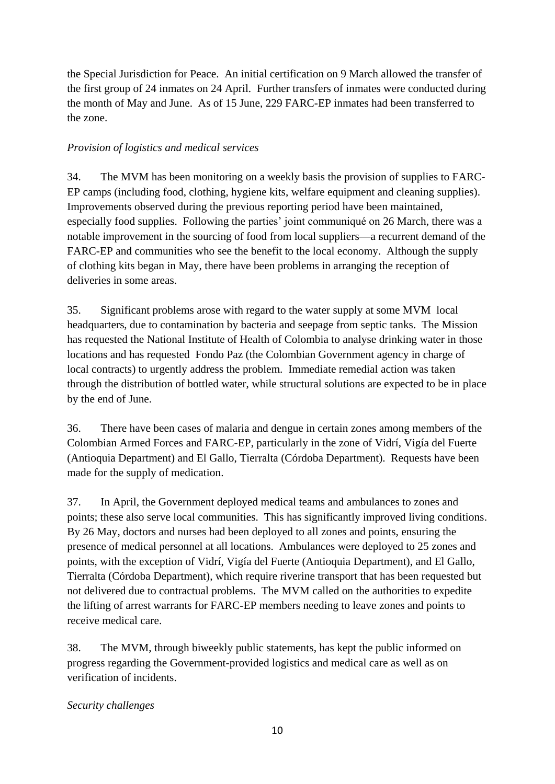the Special Jurisdiction for Peace. An initial certification on 9 March allowed the transfer of the first group of 24 inmates on 24 April. Further transfers of inmates were conducted during the month of May and June. As of 15 June, 229 FARC-EP inmates had been transferred to the zone.

# *Provision of logistics and medical services*

34. The MVM has been monitoring on a weekly basis the provision of supplies to FARC-EP camps (including food, clothing, hygiene kits, welfare equipment and cleaning supplies). Improvements observed during the previous reporting period have been maintained, especially food supplies. Following the parties' joint communiqué on 26 March, there was a notable improvement in the sourcing of food from local suppliers—a recurrent demand of the FARC-EP and communities who see the benefit to the local economy. Although the supply of clothing kits began in May, there have been problems in arranging the reception of deliveries in some areas.

35. Significant problems arose with regard to the water supply at some MVM local headquarters, due to contamination by bacteria and seepage from septic tanks. The Mission has requested the National Institute of Health of Colombia to analyse drinking water in those locations and has requested Fondo Paz (the Colombian Government agency in charge of local contracts) to urgently address the problem. Immediate remedial action was taken through the distribution of bottled water, while structural solutions are expected to be in place by the end of June.

36. There have been cases of malaria and dengue in certain zones among members of the Colombian Armed Forces and FARC-EP, particularly in the zone of Vidrí, Vigía del Fuerte (Antioquia Department) and El Gallo, Tierralta (Córdoba Department). Requests have been made for the supply of medication.

37. In April, the Government deployed medical teams and ambulances to zones and points; these also serve local communities. This has significantly improved living conditions. By 26 May, doctors and nurses had been deployed to all zones and points, ensuring the presence of medical personnel at all locations. Ambulances were deployed to 25 zones and points, with the exception of Vidrí, Vigía del Fuerte (Antioquia Department), and El Gallo, Tierralta (Córdoba Department), which require riverine transport that has been requested but not delivered due to contractual problems. The MVM called on the authorities to expedite the lifting of arrest warrants for FARC-EP members needing to leave zones and points to receive medical care.

38. The MVM, through biweekly public statements, has kept the public informed on progress regarding the Government-provided logistics and medical care as well as on verification of incidents.

# *Security challenges*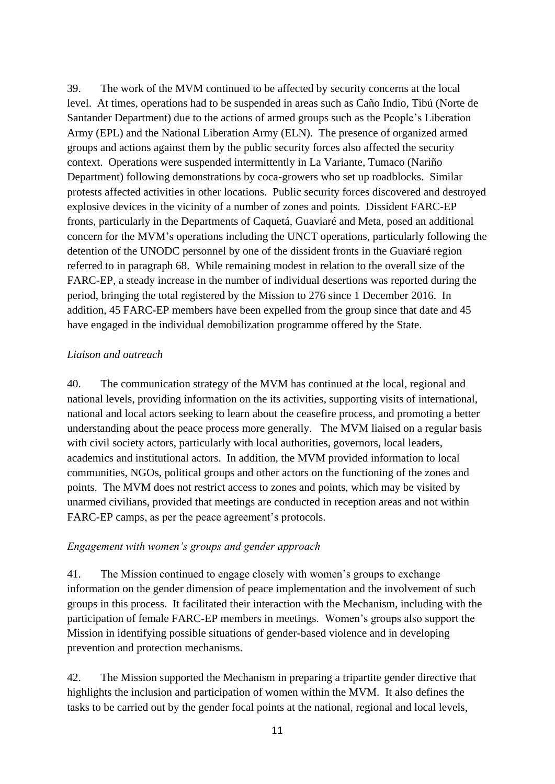39. The work of the MVM continued to be affected by security concerns at the local level. At times, operations had to be suspended in areas such as Caño Indio, Tibú (Norte de Santander Department) due to the actions of armed groups such as the People's Liberation Army (EPL) and the National Liberation Army (ELN). The presence of organized armed groups and actions against them by the public security forces also affected the security context. Operations were suspended intermittently in La Variante, Tumaco (Nariño Department) following demonstrations by coca-growers who set up roadblocks. Similar protests affected activities in other locations. Public security forces discovered and destroyed explosive devices in the vicinity of a number of zones and points. Dissident FARC-EP fronts, particularly in the Departments of Caquetá, Guaviaré and Meta, posed an additional concern for the MVM's operations including the UNCT operations, particularly following the detention of the UNODC personnel by one of the dissident fronts in the Guaviaré region referred to in paragraph 68. While remaining modest in relation to the overall size of the FARC-EP, a steady increase in the number of individual desertions was reported during the period, bringing the total registered by the Mission to 276 since 1 December 2016. In addition, 45 FARC-EP members have been expelled from the group since that date and 45 have engaged in the individual demobilization programme offered by the State.

#### *Liaison and outreach*

40. The communication strategy of the MVM has continued at the local, regional and national levels, providing information on the its activities, supporting visits of international, national and local actors seeking to learn about the ceasefire process, and promoting a better understanding about the peace process more generally. The MVM liaised on a regular basis with civil society actors, particularly with local authorities, governors, local leaders, academics and institutional actors. In addition, the MVM provided information to local communities, NGOs, political groups and other actors on the functioning of the zones and points. The MVM does not restrict access to zones and points, which may be visited by unarmed civilians, provided that meetings are conducted in reception areas and not within FARC-EP camps, as per the peace agreement's protocols.

#### *Engagement with women's groups and gender approach*

41. The Mission continued to engage closely with women's groups to exchange information on the gender dimension of peace implementation and the involvement of such groups in this process. It facilitated their interaction with the Mechanism, including with the participation of female FARC-EP members in meetings. Women's groups also support the Mission in identifying possible situations of gender-based violence and in developing prevention and protection mechanisms.

42. The Mission supported the Mechanism in preparing a tripartite gender directive that highlights the inclusion and participation of women within the MVM. It also defines the tasks to be carried out by the gender focal points at the national, regional and local levels,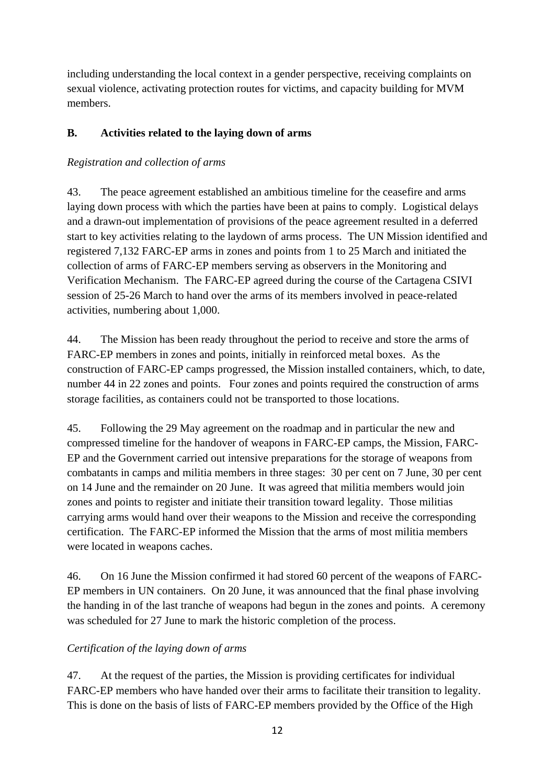including understanding the local context in a gender perspective, receiving complaints on sexual violence, activating protection routes for victims, and capacity building for MVM members.

# **B. Activities related to the laying down of arms**

# *Registration and collection of arms*

43. The peace agreement established an ambitious timeline for the ceasefire and arms laying down process with which the parties have been at pains to comply. Logistical delays and a drawn-out implementation of provisions of the peace agreement resulted in a deferred start to key activities relating to the laydown of arms process. The UN Mission identified and registered 7,132 FARC-EP arms in zones and points from 1 to 25 March and initiated the collection of arms of FARC-EP members serving as observers in the Monitoring and Verification Mechanism. The FARC-EP agreed during the course of the Cartagena CSIVI session of 25-26 March to hand over the arms of its members involved in peace-related activities, numbering about 1,000.

44. The Mission has been ready throughout the period to receive and store the arms of FARC-EP members in zones and points, initially in reinforced metal boxes. As the construction of FARC-EP camps progressed, the Mission installed containers, which, to date, number 44 in 22 zones and points. Four zones and points required the construction of arms storage facilities, as containers could not be transported to those locations.

45. Following the 29 May agreement on the roadmap and in particular the new and compressed timeline for the handover of weapons in FARC-EP camps, the Mission, FARC-EP and the Government carried out intensive preparations for the storage of weapons from combatants in camps and militia members in three stages: 30 per cent on 7 June, 30 per cent on 14 June and the remainder on 20 June. It was agreed that militia members would join zones and points to register and initiate their transition toward legality. Those militias carrying arms would hand over their weapons to the Mission and receive the corresponding certification. The FARC-EP informed the Mission that the arms of most militia members were located in weapons caches.

46. On 16 June the Mission confirmed it had stored 60 percent of the weapons of FARC-EP members in UN containers. On 20 June, it was announced that the final phase involving the handing in of the last tranche of weapons had begun in the zones and points. A ceremony was scheduled for 27 June to mark the historic completion of the process.

# *Certification of the laying down of arms*

47. At the request of the parties, the Mission is providing certificates for individual FARC-EP members who have handed over their arms to facilitate their transition to legality. This is done on the basis of lists of FARC-EP members provided by the Office of the High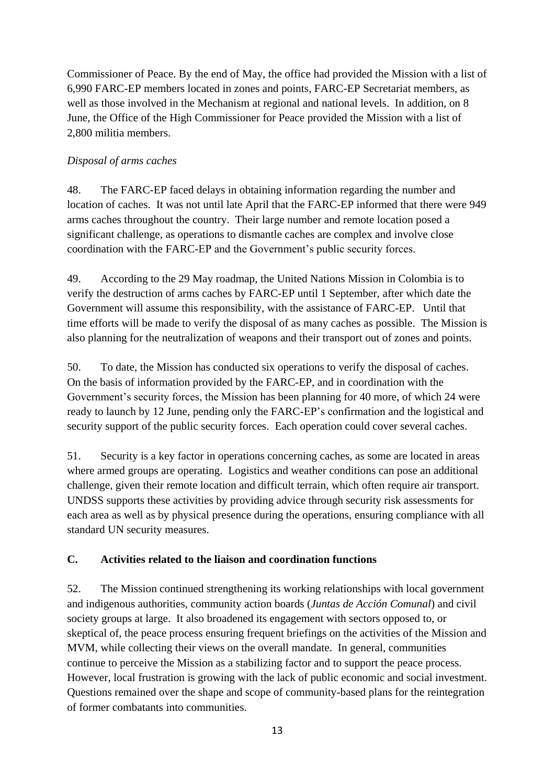Commissioner of Peace. By the end of May, the office had provided the Mission with a list of 6,990 FARC-EP members located in zones and points, FARC-EP Secretariat members, as well as those involved in the Mechanism at regional and national levels. In addition, on 8 June, the Office of the High Commissioner for Peace provided the Mission with a list of 2,800 militia members.

# *Disposal of arms caches*

48. The FARC-EP faced delays in obtaining information regarding the number and location of caches. It was not until late April that the FARC-EP informed that there were 949 arms caches throughout the country. Their large number and remote location posed a significant challenge, as operations to dismantle caches are complex and involve close coordination with the FARC-EP and the Government's public security forces.

49. According to the 29 May roadmap, the United Nations Mission in Colombia is to verify the destruction of arms caches by FARC-EP until 1 September, after which date the Government will assume this responsibility, with the assistance of FARC-EP. Until that time efforts will be made to verify the disposal of as many caches as possible. The Mission is also planning for the neutralization of weapons and their transport out of zones and points.

50. To date, the Mission has conducted six operations to verify the disposal of caches. On the basis of information provided by the FARC-EP, and in coordination with the Government's security forces, the Mission has been planning for 40 more, of which 24 were ready to launch by 12 June, pending only the FARC-EP's confirmation and the logistical and security support of the public security forces. Each operation could cover several caches.

51. Security is a key factor in operations concerning caches, as some are located in areas where armed groups are operating. Logistics and weather conditions can pose an additional challenge, given their remote location and difficult terrain, which often require air transport. UNDSS supports these activities by providing advice through security risk assessments for each area as well as by physical presence during the operations, ensuring compliance with all standard UN security measures.

# **C. Activities related to the liaison and coordination functions**

52. The Mission continued strengthening its working relationships with local government and indigenous authorities, community action boards (*Juntas de Acción Comunal*) and civil society groups at large. It also broadened its engagement with sectors opposed to, or skeptical of, the peace process ensuring frequent briefings on the activities of the Mission and MVM, while collecting their views on the overall mandate. In general, communities continue to perceive the Mission as a stabilizing factor and to support the peace process. However, local frustration is growing with the lack of public economic and social investment. Questions remained over the shape and scope of community-based plans for the reintegration of former combatants into communities.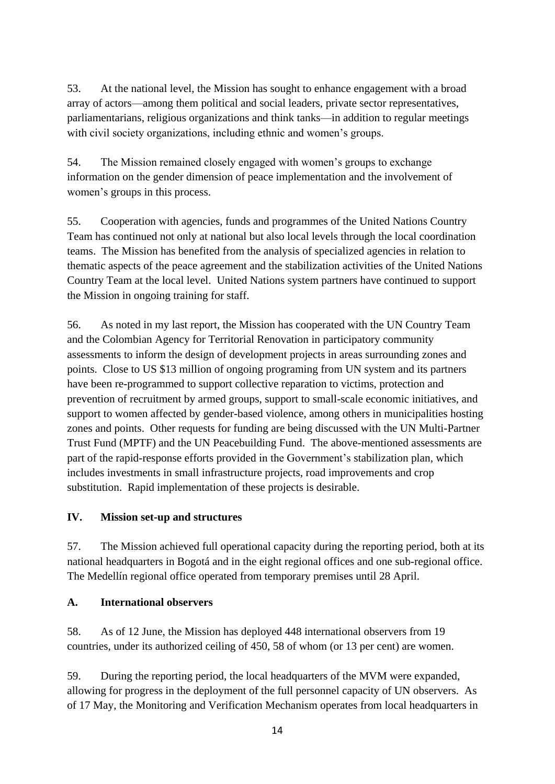53. At the national level, the Mission has sought to enhance engagement with a broad array of actors—among them political and social leaders, private sector representatives, parliamentarians, religious organizations and think tanks—in addition to regular meetings with civil society organizations, including ethnic and women's groups.

54. The Mission remained closely engaged with women's groups to exchange information on the gender dimension of peace implementation and the involvement of women's groups in this process.

55. Cooperation with agencies, funds and programmes of the United Nations Country Team has continued not only at national but also local levels through the local coordination teams. The Mission has benefited from the analysis of specialized agencies in relation to thematic aspects of the peace agreement and the stabilization activities of the United Nations Country Team at the local level. United Nations system partners have continued to support the Mission in ongoing training for staff.

56. As noted in my last report, the Mission has cooperated with the UN Country Team and the Colombian Agency for Territorial Renovation in participatory community assessments to inform the design of development projects in areas surrounding zones and points. Close to US \$13 million of ongoing programing from UN system and its partners have been re-programmed to support collective reparation to victims, protection and prevention of recruitment by armed groups, support to small-scale economic initiatives, and support to women affected by gender-based violence, among others in municipalities hosting zones and points. Other requests for funding are being discussed with the UN Multi-Partner Trust Fund (MPTF) and the UN Peacebuilding Fund. The above-mentioned assessments are part of the rapid-response efforts provided in the Government's stabilization plan, which includes investments in small infrastructure projects, road improvements and crop substitution. Rapid implementation of these projects is desirable.

# **IV. Mission set-up and structures**

57. The Mission achieved full operational capacity during the reporting period, both at its national headquarters in Bogotá and in the eight regional offices and one sub-regional office. The Medellín regional office operated from temporary premises until 28 April.

# **A. International observers**

58. As of 12 June, the Mission has deployed 448 international observers from 19 countries, under its authorized ceiling of 450, 58 of whom (or 13 per cent) are women.

59. During the reporting period, the local headquarters of the MVM were expanded, allowing for progress in the deployment of the full personnel capacity of UN observers. As of 17 May, the Monitoring and Verification Mechanism operates from local headquarters in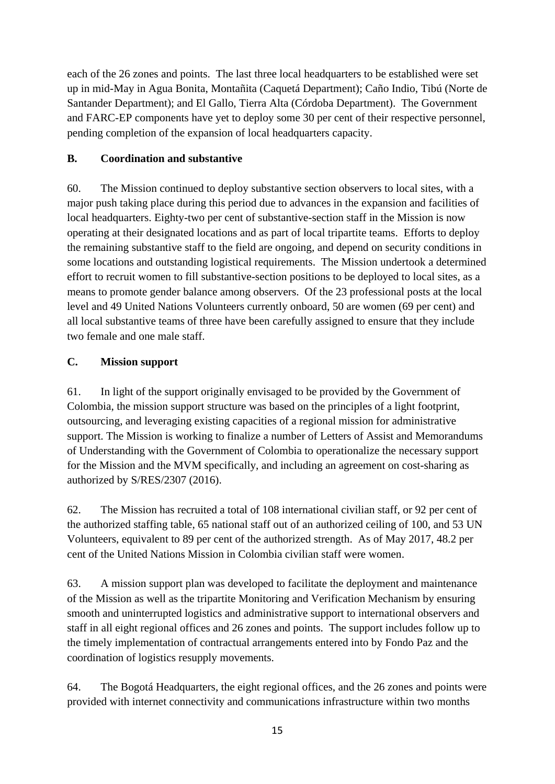each of the 26 zones and points. The last three local headquarters to be established were set up in mid-May in Agua Bonita, Montañita (Caquetá Department); Caño Indio, Tibú (Norte de Santander Department); and El Gallo, Tierra Alta (Córdoba Department). The Government and FARC-EP components have yet to deploy some 30 per cent of their respective personnel, pending completion of the expansion of local headquarters capacity.

#### **B. Coordination and substantive**

60. The Mission continued to deploy substantive section observers to local sites, with a major push taking place during this period due to advances in the expansion and facilities of local headquarters. Eighty-two per cent of substantive-section staff in the Mission is now operating at their designated locations and as part of local tripartite teams. Efforts to deploy the remaining substantive staff to the field are ongoing, and depend on security conditions in some locations and outstanding logistical requirements. The Mission undertook a determined effort to recruit women to fill substantive-section positions to be deployed to local sites, as a means to promote gender balance among observers. Of the 23 professional posts at the local level and 49 United Nations Volunteers currently onboard, 50 are women (69 per cent) and all local substantive teams of three have been carefully assigned to ensure that they include two female and one male staff.

# **C. Mission support**

61. In light of the support originally envisaged to be provided by the Government of Colombia, the mission support structure was based on the principles of a light footprint, outsourcing, and leveraging existing capacities of a regional mission for administrative support. The Mission is working to finalize a number of Letters of Assist and Memorandums of Understanding with the Government of Colombia to operationalize the necessary support for the Mission and the MVM specifically, and including an agreement on cost-sharing as authorized by S/RES/2307 (2016).

62. The Mission has recruited a total of 108 international civilian staff, or 92 per cent of the authorized staffing table, 65 national staff out of an authorized ceiling of 100, and 53 UN Volunteers, equivalent to 89 per cent of the authorized strength. As of May 2017, 48.2 per cent of the United Nations Mission in Colombia civilian staff were women.

63. A mission support plan was developed to facilitate the deployment and maintenance of the Mission as well as the tripartite Monitoring and Verification Mechanism by ensuring smooth and uninterrupted logistics and administrative support to international observers and staff in all eight regional offices and 26 zones and points. The support includes follow up to the timely implementation of contractual arrangements entered into by Fondo Paz and the coordination of logistics resupply movements.

64. The Bogotá Headquarters, the eight regional offices, and the 26 zones and points were provided with internet connectivity and communications infrastructure within two months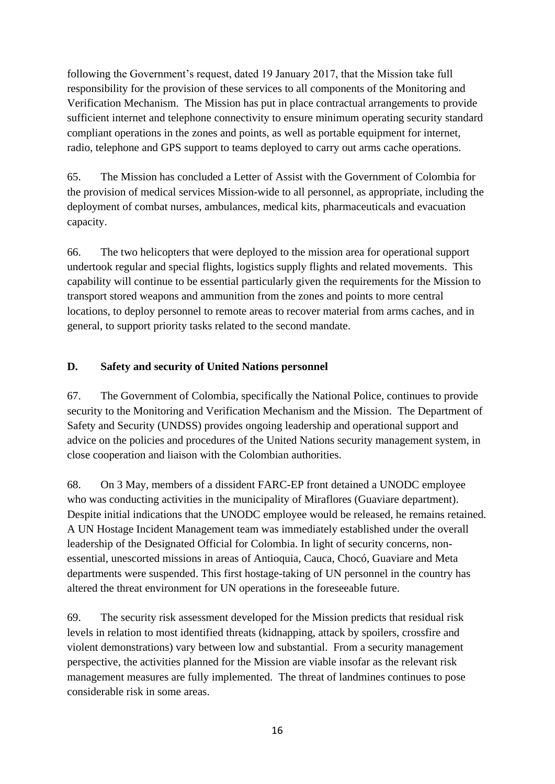following the Government's request, dated 19 January 2017, that the Mission take full responsibility for the provision of these services to all components of the Monitoring and Verification Mechanism. The Mission has put in place contractual arrangements to provide sufficient internet and telephone connectivity to ensure minimum operating security standard compliant operations in the zones and points, as well as portable equipment for internet, radio, telephone and GPS support to teams deployed to carry out arms cache operations.

65. The Mission has concluded a Letter of Assist with the Government of Colombia for the provision of medical services Mission-wide to all personnel, as appropriate, including the deployment of combat nurses, ambulances, medical kits, pharmaceuticals and evacuation capacity.

66. The two helicopters that were deployed to the mission area for operational support undertook regular and special flights, logistics supply flights and related movements. This capability will continue to be essential particularly given the requirements for the Mission to transport stored weapons and ammunition from the zones and points to more central locations, to deploy personnel to remote areas to recover material from arms caches, and in general, to support priority tasks related to the second mandate.

# **D. Safety and security of United Nations personnel**

67. The Government of Colombia, specifically the National Police, continues to provide security to the Monitoring and Verification Mechanism and the Mission. The Department of Safety and Security (UNDSS) provides ongoing leadership and operational support and advice on the policies and procedures of the United Nations security management system, in close cooperation and liaison with the Colombian authorities.

68. On 3 May, members of a dissident FARC-EP front detained a UNODC employee who was conducting activities in the municipality of Miraflores (Guaviare department). Despite initial indications that the UNODC employee would be released, he remains retained. A UN Hostage Incident Management team was immediately established under the overall leadership of the Designated Official for Colombia. In light of security concerns, nonessential, unescorted missions in areas of Antioquia, Cauca, Chocó, Guaviare and Meta departments were suspended. This first hostage-taking of UN personnel in the country has altered the threat environment for UN operations in the foreseeable future.

69. The security risk assessment developed for the Mission predicts that residual risk levels in relation to most identified threats (kidnapping, attack by spoilers, crossfire and violent demonstrations) vary between low and substantial. From a security management perspective, the activities planned for the Mission are viable insofar as the relevant risk management measures are fully implemented. The threat of landmines continues to pose considerable risk in some areas.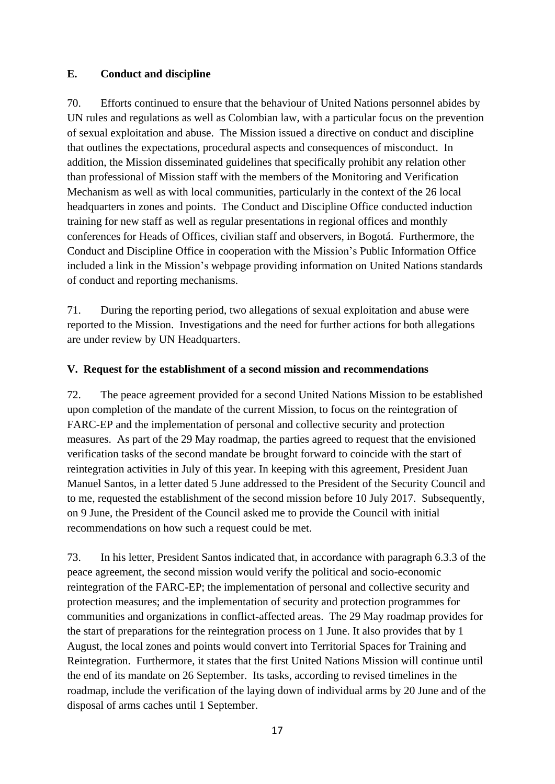#### **E. Conduct and discipline**

70. Efforts continued to ensure that the behaviour of United Nations personnel abides by UN rules and regulations as well as Colombian law, with a particular focus on the prevention of sexual exploitation and abuse. The Mission issued a directive on conduct and discipline that outlines the expectations, procedural aspects and consequences of misconduct. In addition, the Mission disseminated guidelines that specifically prohibit any relation other than professional of Mission staff with the members of the Monitoring and Verification Mechanism as well as with local communities, particularly in the context of the 26 local headquarters in zones and points. The Conduct and Discipline Office conducted induction training for new staff as well as regular presentations in regional offices and monthly conferences for Heads of Offices, civilian staff and observers, in Bogotá. Furthermore, the Conduct and Discipline Office in cooperation with the Mission's Public Information Office included a link in the Mission's webpage providing information on United Nations standards of conduct and reporting mechanisms.

71. During the reporting period, two allegations of sexual exploitation and abuse were reported to the Mission. Investigations and the need for further actions for both allegations are under review by UN Headquarters.

#### **V. Request for the establishment of a second mission and recommendations**

72. The peace agreement provided for a second United Nations Mission to be established upon completion of the mandate of the current Mission, to focus on the reintegration of FARC-EP and the implementation of personal and collective security and protection measures. As part of the 29 May roadmap, the parties agreed to request that the envisioned verification tasks of the second mandate be brought forward to coincide with the start of reintegration activities in July of this year. In keeping with this agreement, President Juan Manuel Santos, in a letter dated 5 June addressed to the President of the Security Council and to me, requested the establishment of the second mission before 10 July 2017. Subsequently, on 9 June, the President of the Council asked me to provide the Council with initial recommendations on how such a request could be met.

73. In his letter, President Santos indicated that, in accordance with paragraph 6.3.3 of the peace agreement, the second mission would verify the political and socio-economic reintegration of the FARC-EP; the implementation of personal and collective security and protection measures; and the implementation of security and protection programmes for communities and organizations in conflict-affected areas. The 29 May roadmap provides for the start of preparations for the reintegration process on 1 June. It also provides that by 1 August, the local zones and points would convert into Territorial Spaces for Training and Reintegration. Furthermore, it states that the first United Nations Mission will continue until the end of its mandate on 26 September. Its tasks, according to revised timelines in the roadmap, include the verification of the laying down of individual arms by 20 June and of the disposal of arms caches until 1 September.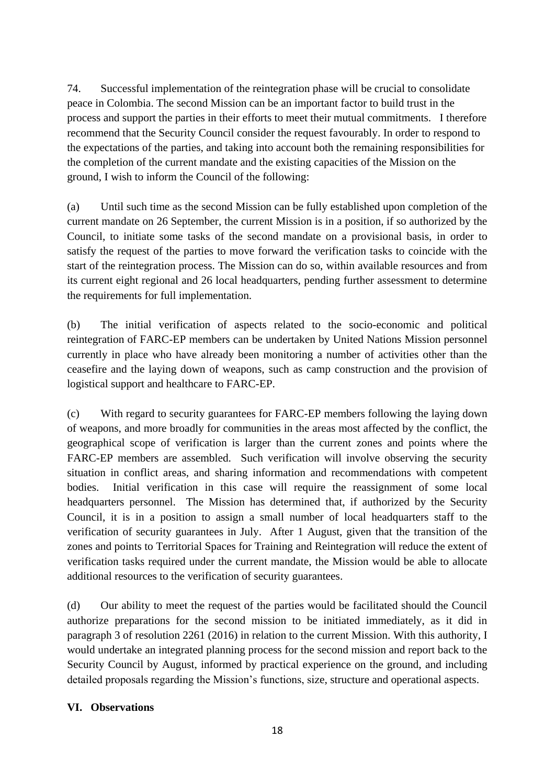74. Successful implementation of the reintegration phase will be crucial to consolidate peace in Colombia. The second Mission can be an important factor to build trust in the process and support the parties in their efforts to meet their mutual commitments. I therefore recommend that the Security Council consider the request favourably. In order to respond to the expectations of the parties, and taking into account both the remaining responsibilities for the completion of the current mandate and the existing capacities of the Mission on the ground, I wish to inform the Council of the following:

(a) Until such time as the second Mission can be fully established upon completion of the current mandate on 26 September, the current Mission is in a position, if so authorized by the Council, to initiate some tasks of the second mandate on a provisional basis, in order to satisfy the request of the parties to move forward the verification tasks to coincide with the start of the reintegration process. The Mission can do so, within available resources and from its current eight regional and 26 local headquarters, pending further assessment to determine the requirements for full implementation.

(b) The initial verification of aspects related to the socio-economic and political reintegration of FARC-EP members can be undertaken by United Nations Mission personnel currently in place who have already been monitoring a number of activities other than the ceasefire and the laying down of weapons, such as camp construction and the provision of logistical support and healthcare to FARC-EP.

(c) With regard to security guarantees for FARC-EP members following the laying down of weapons, and more broadly for communities in the areas most affected by the conflict, the geographical scope of verification is larger than the current zones and points where the FARC-EP members are assembled. Such verification will involve observing the security situation in conflict areas, and sharing information and recommendations with competent bodies. Initial verification in this case will require the reassignment of some local headquarters personnel. The Mission has determined that, if authorized by the Security Council, it is in a position to assign a small number of local headquarters staff to the verification of security guarantees in July. After 1 August, given that the transition of the zones and points to Territorial Spaces for Training and Reintegration will reduce the extent of verification tasks required under the current mandate, the Mission would be able to allocate additional resources to the verification of security guarantees.

(d) Our ability to meet the request of the parties would be facilitated should the Council authorize preparations for the second mission to be initiated immediately, as it did in paragraph 3 of resolution 2261 (2016) in relation to the current Mission. With this authority, I would undertake an integrated planning process for the second mission and report back to the Security Council by August, informed by practical experience on the ground, and including detailed proposals regarding the Mission's functions, size, structure and operational aspects.

# **VI. Observations**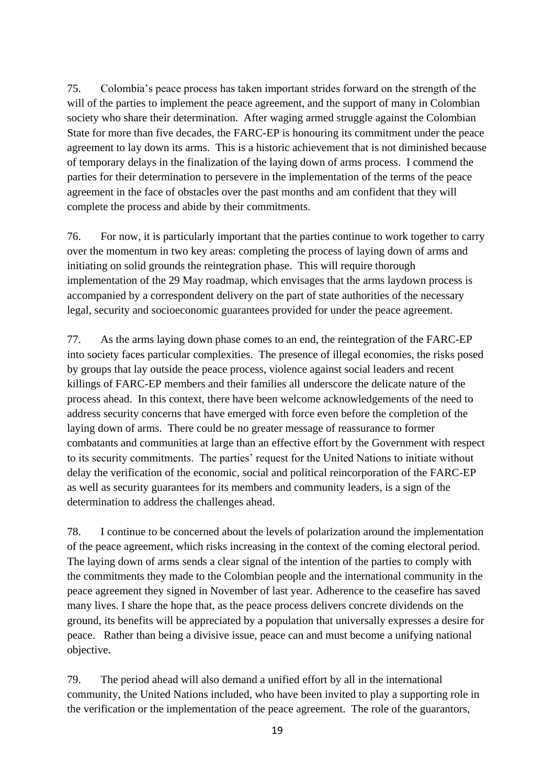75. Colombia's peace process has taken important strides forward on the strength of the will of the parties to implement the peace agreement, and the support of many in Colombian society who share their determination. After waging armed struggle against the Colombian State for more than five decades, the FARC-EP is honouring its commitment under the peace agreement to lay down its arms. This is a historic achievement that is not diminished because of temporary delays in the finalization of the laying down of arms process. I commend the parties for their determination to persevere in the implementation of the terms of the peace agreement in the face of obstacles over the past months and am confident that they will complete the process and abide by their commitments.

76. For now, it is particularly important that the parties continue to work together to carry over the momentum in two key areas: completing the process of laying down of arms and initiating on solid grounds the reintegration phase. This will require thorough implementation of the 29 May roadmap, which envisages that the arms laydown process is accompanied by a correspondent delivery on the part of state authorities of the necessary legal, security and socioeconomic guarantees provided for under the peace agreement.

77. As the arms laying down phase comes to an end, the reintegration of the FARC-EP into society faces particular complexities. The presence of illegal economies, the risks posed by groups that lay outside the peace process, violence against social leaders and recent killings of FARC-EP members and their families all underscore the delicate nature of the process ahead. In this context, there have been welcome acknowledgements of the need to address security concerns that have emerged with force even before the completion of the laying down of arms. There could be no greater message of reassurance to former combatants and communities at large than an effective effort by the Government with respect to its security commitments. The parties' request for the United Nations to initiate without delay the verification of the economic, social and political reincorporation of the FARC-EP as well as security guarantees for its members and community leaders, is a sign of the determination to address the challenges ahead.

78. I continue to be concerned about the levels of polarization around the implementation of the peace agreement, which risks increasing in the context of the coming electoral period. The laying down of arms sends a clear signal of the intention of the parties to comply with the commitments they made to the Colombian people and the international community in the peace agreement they signed in November of last year. Adherence to the ceasefire has saved many lives. I share the hope that, as the peace process delivers concrete dividends on the ground, its benefits will be appreciated by a population that universally expresses a desire for peace. Rather than being a divisive issue, peace can and must become a unifying national objective.

79. The period ahead will also demand a unified effort by all in the international community, the United Nations included, who have been invited to play a supporting role in the verification or the implementation of the peace agreement. The role of the guarantors,